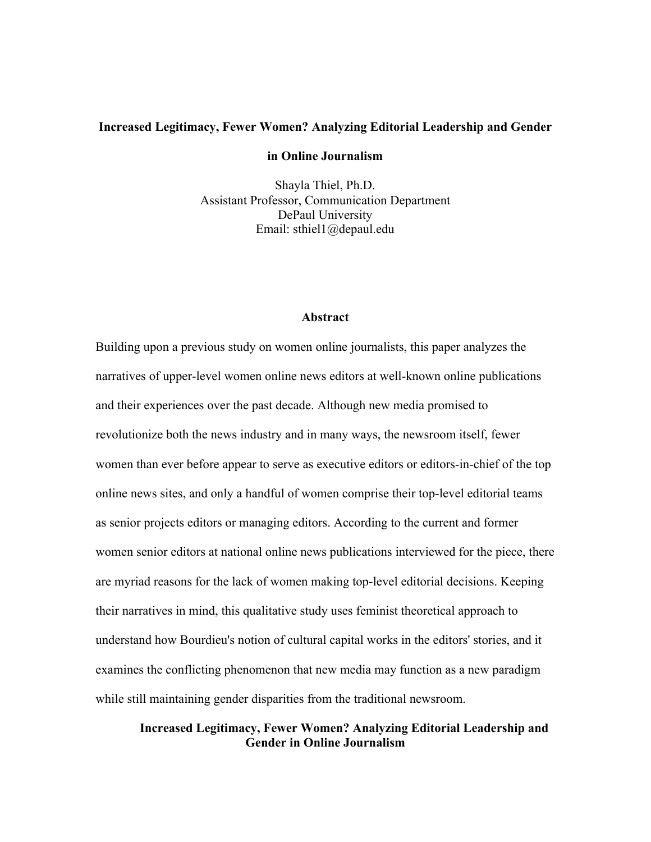## Increased Legitimacy, Fewer Women? Analyzing Editorial Leadership and Gender

## in Online Journalism

Shayla Thiel, Ph.D. Assistant Professor, Communication Department DePaul University Email: sthiel1@depaul.edu

## Abstract

Building upon a previous study on women online journalists, this paper analyzes the narratives of upper-level women online news editors at well-known online publications and their experiences over the past decade. Although new media promised to revolutionize both the news industry and in many ways, the newsroom itself, fewer women than ever before appear to serve as executive editors or editors-in-chief of the top online news sites, and only a handful of women comprise their top-level editorial teams as senior projects editors or managing editors. According to the current and former women senior editors at national online news publications interviewed for the piece, there are myriad reasons for the lack of women making top-level editorial decisions. Keeping their narratives in mind, this qualitative study uses feminist theoretical approach to understand how Bourdieu's notion of cultural capital works in the editors' stories, and it examines the conflicting phenomenon that new media may function as a new paradigm while still maintaining gender disparities from the traditional newsroom.

# Increased Legitimacy, Fewer Women? Analyzing Editorial Leadership and Gender in Online Journalism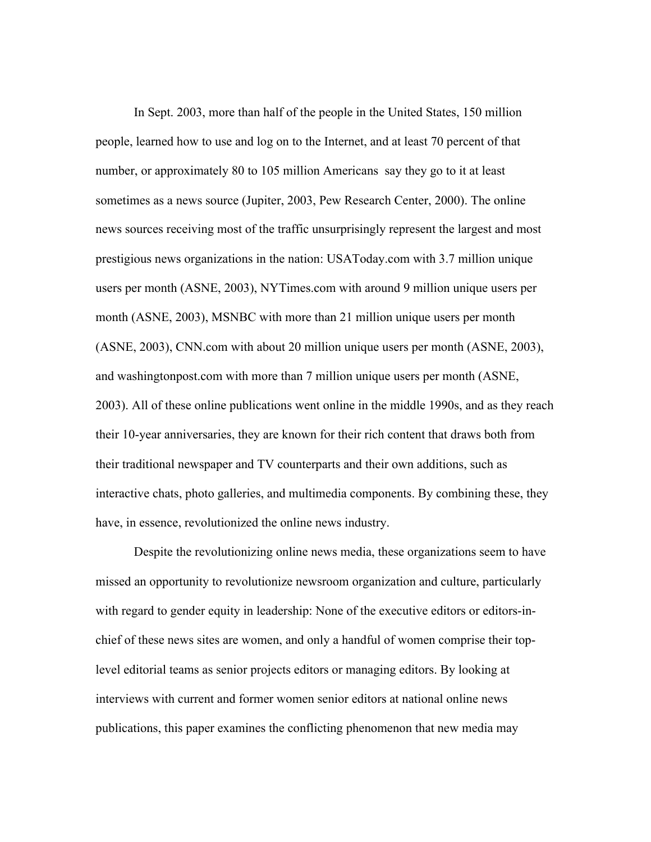In Sept. 2003, more than half of the people in the United States, 150 million people, learned how to use and log on to the Internet, and at least 70 percent of that number, or approximately 80 to 105 million Americans say they go to it at least sometimes as a news source (Jupiter, 2003, Pew Research Center, 2000). The online news sources receiving most of the traffic unsurprisingly represent the largest and most prestigious news organizations in the nation: USAToday.com with 3.7 million unique users per month (ASNE, 2003), NYTimes.com with around 9 million unique users per month (ASNE, 2003), MSNBC with more than 21 million unique users per month (ASNE, 2003), CNN.com with about 20 million unique users per month (ASNE, 2003), and washingtonpost.com with more than 7 million unique users per month (ASNE, 2003). All of these online publications went online in the middle 1990s, and as they reach their 10-year anniversaries, they are known for their rich content that draws both from their traditional newspaper and TV counterparts and their own additions, such as interactive chats, photo galleries, and multimedia components. By combining these, they have, in essence, revolutionized the online news industry.

Despite the revolutionizing online news media, these organizations seem to have missed an opportunity to revolutionize newsroom organization and culture, particularly with regard to gender equity in leadership: None of the executive editors or editors-inchief of these news sites are women, and only a handful of women comprise their toplevel editorial teams as senior projects editors or managing editors. By looking at interviews with current and former women senior editors at national online news publications, this paper examines the conflicting phenomenon that new media may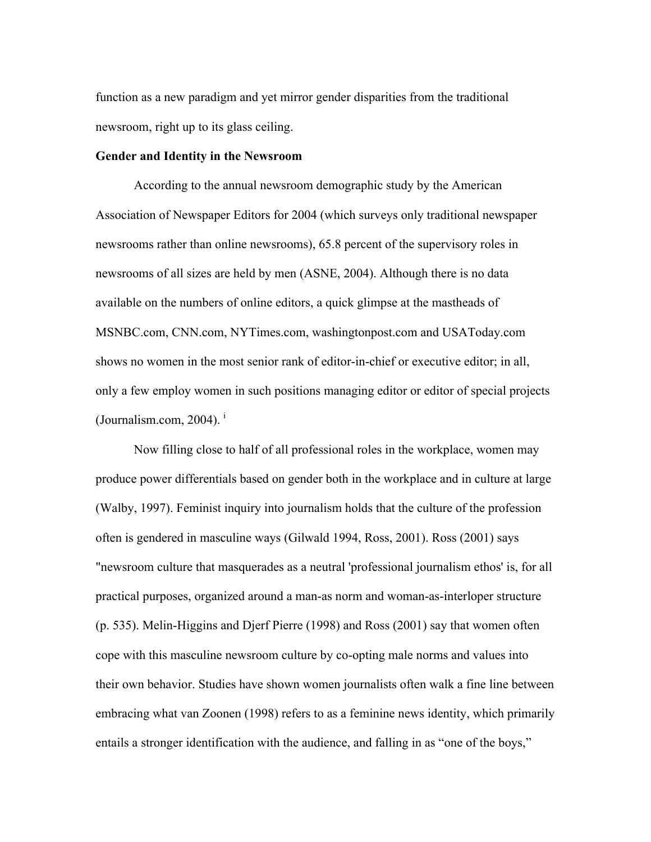function as a new paradigm and yet mirror gender disparities from the traditional newsroom, right up to its glass ceiling.

## Gender and Identity in the Newsroom

According to the annual newsroom demographic study by the American Association of Newspaper Editors for 2004 (which surveys only traditional newspaper newsrooms rather than online newsrooms), 65.8 percent of the supervisory roles in newsrooms of all sizes are held by men (ASNE, 2004). Although there is no data available on the numbers of online editors, a quick glimpse at the mastheads of MSNBC.com, CNN.com, NYTimes.com, washingtonpost.com and USAToday.com shows no women in the most senior rank of editor-in-chief or executive editor; in all, only a few employ women in such positions managing editor or editor of special projects (Journalism.com,  $2004$ ).

Now filling close to half of all professional roles in the workplace, women may produce power differentials based on gender both in the workplace and in culture at large (Walby, 1997). Feminist inquiry into journalism holds that the culture of the profession often is gendered in masculine ways (Gilwald 1994, Ross, 2001). Ross (2001) says "newsroom culture that masquerades as a neutral 'professional journalism ethos' is, for all practical purposes, organized around a man-as norm and woman-as-interloper structure (p. 535). Melin-Higgins and Djerf Pierre (1998) and Ross (2001) say that women often cope with this masculine newsroom culture by co-opting male norms and values into their own behavior. Studies have shown women journalists often walk a fine line between embracing what van Zoonen (1998) refers to as a feminine news identity, which primarily entails a stronger identification with the audience, and falling in as "one of the boys,"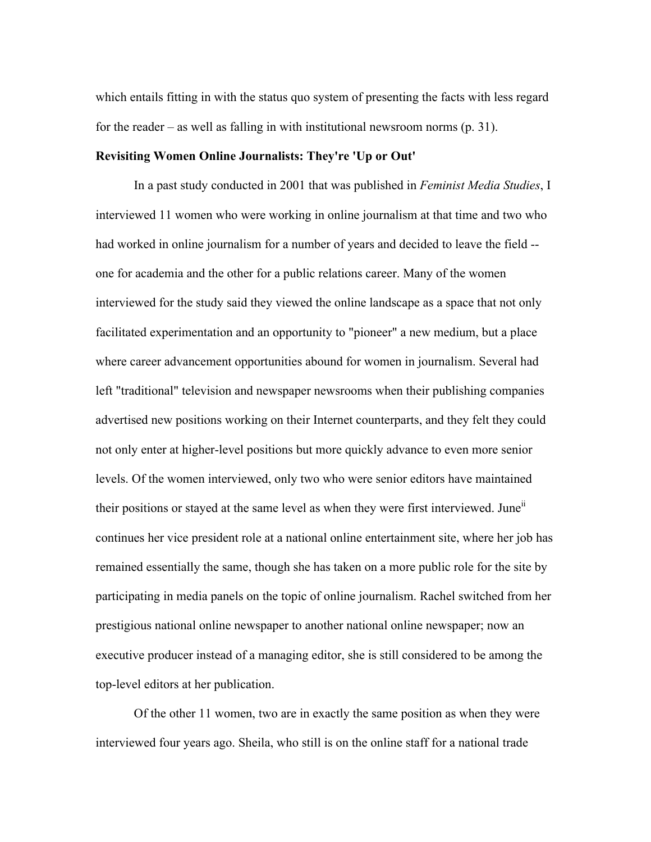which entails fitting in with the status quo system of presenting the facts with less regard for the reader – as well as falling in with institutional newsroom norms (p. 31).

## Revisiting Women Online Journalists: They're 'Up or Out'

In a past study conducted in 2001 that was published in *Feminist Media Studies*, I interviewed 11 women who were working in online journalism at that time and two who had worked in online journalism for a number of years and decided to leave the field - one for academia and the other for a public relations career. Many of the women interviewed for the study said they viewed the online landscape as a space that not only facilitated experimentation and an opportunity to "pioneer" a new medium, but a place where career advancement opportunities abound for women in journalism. Several had left "traditional" television and newspaper newsrooms when their publishing companies advertised new positions working on their Internet counterparts, and they felt they could not only enter at higher-level positions but more quickly advance to even more senior levels. Of the women interviewed, only two who were senior editors have maintained their positions or stayed at the same level as when they were first interviewed. June<sup>ii</sup> continues her vice president role at a national online entertainment site, where her job has remained essentially the same, though she has taken on a more public role for the site by participating in media panels on the topic of online journalism. Rachel switched from her prestigious national online newspaper to another national online newspaper; now an executive producer instead of a managing editor, she is still considered to be among the top-level editors at her publication.

Of the other 11 women, two are in exactly the same position as when they were interviewed four years ago. Sheila, who still is on the online staff for a national trade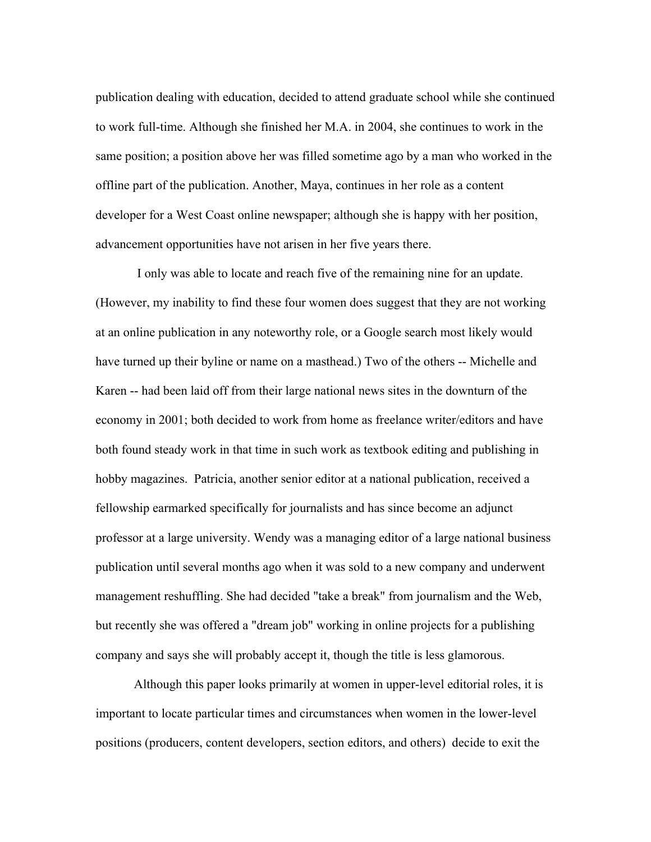publication dealing with education, decided to attend graduate school while she continued to work full-time. Although she finished her M.A. in 2004, she continues to work in the same position; a position above her was filled sometime ago by a man who worked in the offline part of the publication. Another, Maya, continues in her role as a content developer for a West Coast online newspaper; although she is happy with her position, advancement opportunities have not arisen in her five years there.

 I only was able to locate and reach five of the remaining nine for an update. (However, my inability to find these four women does suggest that they are not working at an online publication in any noteworthy role, or a Google search most likely would have turned up their byline or name on a masthead.) Two of the others -- Michelle and Karen -- had been laid off from their large national news sites in the downturn of the economy in 2001; both decided to work from home as freelance writer/editors and have both found steady work in that time in such work as textbook editing and publishing in hobby magazines. Patricia, another senior editor at a national publication, received a fellowship earmarked specifically for journalists and has since become an adjunct professor at a large university. Wendy was a managing editor of a large national business publication until several months ago when it was sold to a new company and underwent management reshuffling. She had decided "take a break" from journalism and the Web, but recently she was offered a "dream job" working in online projects for a publishing company and says she will probably accept it, though the title is less glamorous.

Although this paper looks primarily at women in upper-level editorial roles, it is important to locate particular times and circumstances when women in the lower-level positions (producers, content developers, section editors, and others) decide to exit the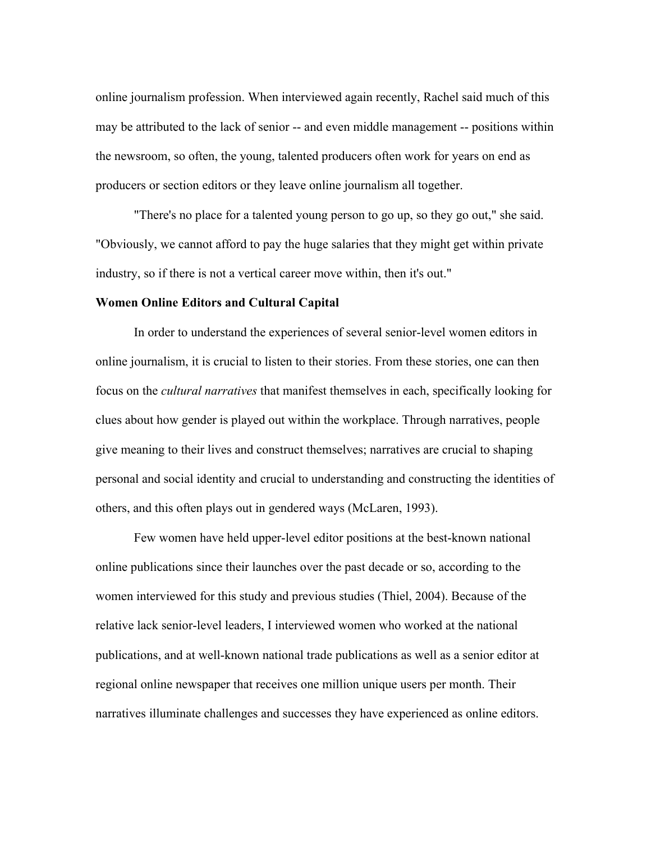online journalism profession. When interviewed again recently, Rachel said much of this may be attributed to the lack of senior -- and even middle management -- positions within the newsroom, so often, the young, talented producers often work for years on end as producers or section editors or they leave online journalism all together.

"There's no place for a talented young person to go up, so they go out," she said. "Obviously, we cannot afford to pay the huge salaries that they might get within private industry, so if there is not a vertical career move within, then it's out."

#### Women Online Editors and Cultural Capital

In order to understand the experiences of several senior-level women editors in online journalism, it is crucial to listen to their stories. From these stories, one can then focus on the *cultural narratives* that manifest themselves in each, specifically looking for clues about how gender is played out within the workplace. Through narratives, people give meaning to their lives and construct themselves; narratives are crucial to shaping personal and social identity and crucial to understanding and constructing the identities of others, and this often plays out in gendered ways (McLaren, 1993).

Few women have held upper-level editor positions at the best-known national online publications since their launches over the past decade or so, according to the women interviewed for this study and previous studies (Thiel, 2004). Because of the relative lack senior-level leaders, I interviewed women who worked at the national publications, and at well-known national trade publications as well as a senior editor at regional online newspaper that receives one million unique users per month. Their narratives illuminate challenges and successes they have experienced as online editors.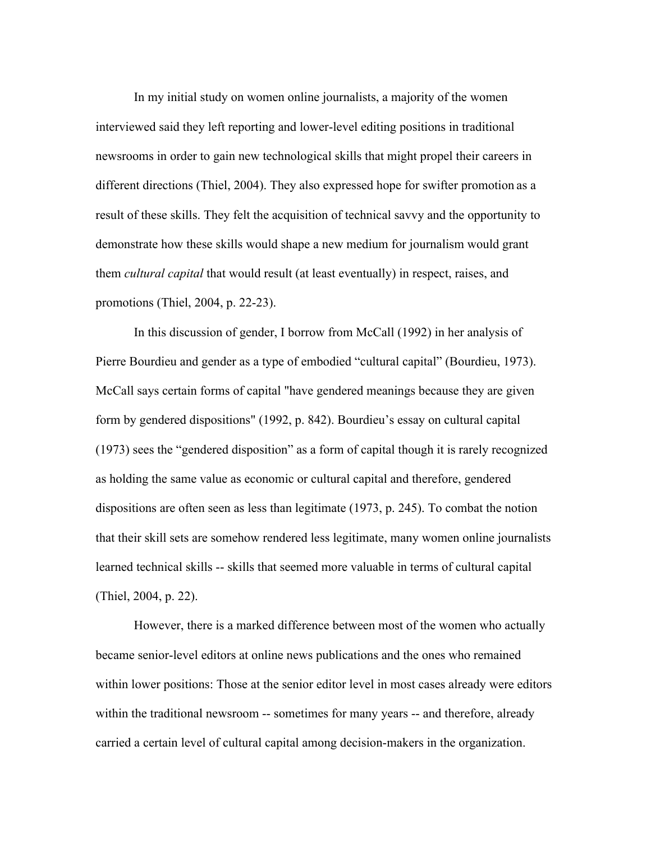In my initial study on women online journalists, a majority of the women interviewed said they left reporting and lower-level editing positions in traditional newsrooms in order to gain new technological skills that might propel their careers in different directions (Thiel, 2004). They also expressed hope for swifter promotion as a result of these skills. They felt the acquisition of technical savvy and the opportunity to demonstrate how these skills would shape a new medium for journalism would grant them *cultural capital* that would result (at least eventually) in respect, raises, and promotions (Thiel, 2004, p. 22-23).

In this discussion of gender, I borrow from McCall (1992) in her analysis of Pierre Bourdieu and gender as a type of embodied "cultural capital" (Bourdieu, 1973). McCall says certain forms of capital "have gendered meanings because they are given form by gendered dispositions" (1992, p. 842). Bourdieu's essay on cultural capital (1973) sees the "gendered disposition" as a form of capital though it is rarely recognized as holding the same value as economic or cultural capital and therefore, gendered dispositions are often seen as less than legitimate (1973, p. 245). To combat the notion that their skill sets are somehow rendered less legitimate, many women online journalists learned technical skills -- skills that seemed more valuable in terms of cultural capital (Thiel, 2004, p. 22).

However, there is a marked difference between most of the women who actually became senior-level editors at online news publications and the ones who remained within lower positions: Those at the senior editor level in most cases already were editors within the traditional newsroom -- sometimes for many years -- and therefore, already carried a certain level of cultural capital among decision-makers in the organization.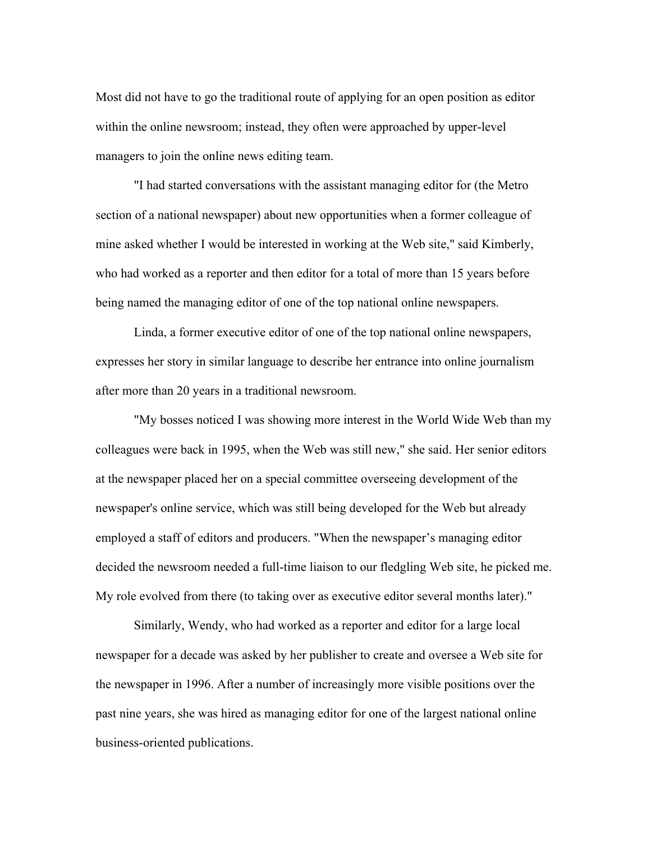Most did not have to go the traditional route of applying for an open position as editor within the online newsroom; instead, they often were approached by upper-level managers to join the online news editing team.

"I had started conversations with the assistant managing editor for (the Metro section of a national newspaper) about new opportunities when a former colleague of mine asked whether I would be interested in working at the Web site," said Kimberly, who had worked as a reporter and then editor for a total of more than 15 years before being named the managing editor of one of the top national online newspapers.

Linda, a former executive editor of one of the top national online newspapers, expresses her story in similar language to describe her entrance into online journalism after more than 20 years in a traditional newsroom.

"My bosses noticed I was showing more interest in the World Wide Web than my colleagues were back in 1995, when the Web was still new," she said. Her senior editors at the newspaper placed her on a special committee overseeing development of the newspaper's online service, which was still being developed for the Web but already employed a staff of editors and producers. "When the newspaper's managing editor decided the newsroom needed a full-time liaison to our fledgling Web site, he picked me. My role evolved from there (to taking over as executive editor several months later)."

Similarly, Wendy, who had worked as a reporter and editor for a large local newspaper for a decade was asked by her publisher to create and oversee a Web site for the newspaper in 1996. After a number of increasingly more visible positions over the past nine years, she was hired as managing editor for one of the largest national online business-oriented publications.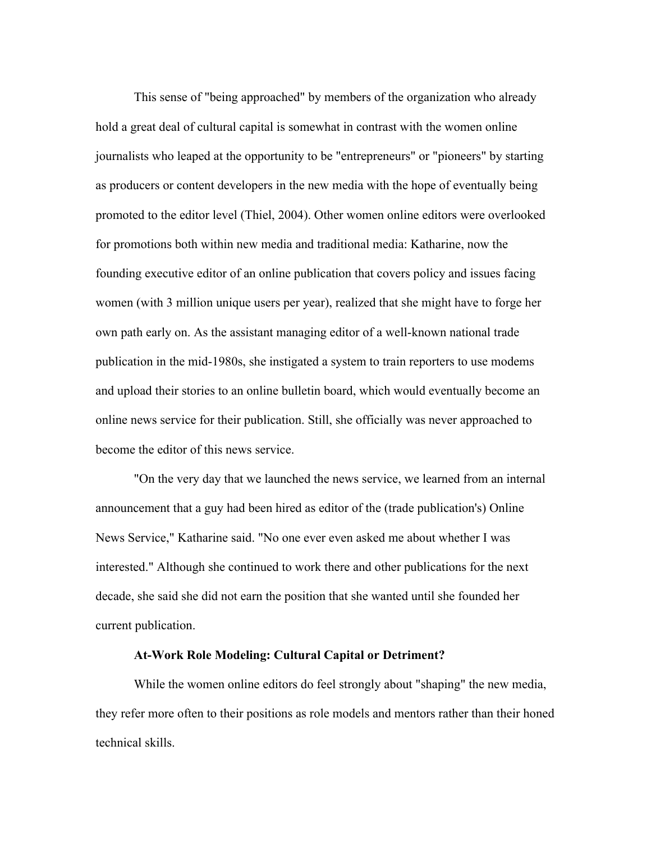This sense of "being approached" by members of the organization who already hold a great deal of cultural capital is somewhat in contrast with the women online journalists who leaped at the opportunity to be "entrepreneurs" or "pioneers" by starting as producers or content developers in the new media with the hope of eventually being promoted to the editor level (Thiel, 2004). Other women online editors were overlooked for promotions both within new media and traditional media: Katharine, now the founding executive editor of an online publication that covers policy and issues facing women (with 3 million unique users per year), realized that she might have to forge her own path early on. As the assistant managing editor of a well-known national trade publication in the mid-1980s, she instigated a system to train reporters to use modems and upload their stories to an online bulletin board, which would eventually become an online news service for their publication. Still, she officially was never approached to become the editor of this news service.

"On the very day that we launched the news service, we learned from an internal announcement that a guy had been hired as editor of the (trade publication's) Online News Service," Katharine said. "No one ever even asked me about whether I was interested." Although she continued to work there and other publications for the next decade, she said she did not earn the position that she wanted until she founded her current publication.

## At-Work Role Modeling: Cultural Capital or Detriment?

While the women online editors do feel strongly about "shaping" the new media, they refer more often to their positions as role models and mentors rather than their honed technical skills.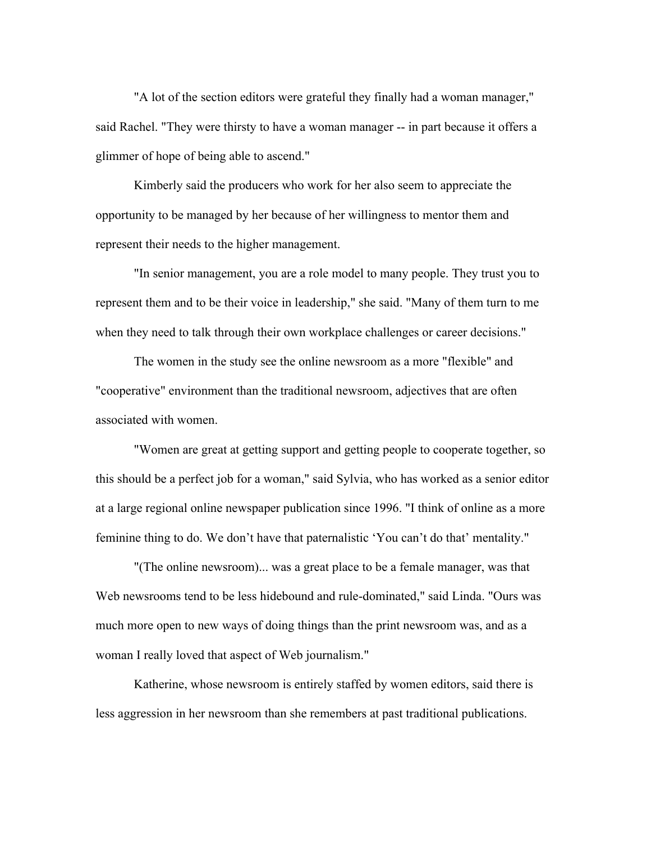"A lot of the section editors were grateful they finally had a woman manager," said Rachel. "They were thirsty to have a woman manager -- in part because it offers a glimmer of hope of being able to ascend."

Kimberly said the producers who work for her also seem to appreciate the opportunity to be managed by her because of her willingness to mentor them and represent their needs to the higher management.

"In senior management, you are a role model to many people. They trust you to represent them and to be their voice in leadership," she said. "Many of them turn to me when they need to talk through their own workplace challenges or career decisions."

The women in the study see the online newsroom as a more "flexible" and "cooperative" environment than the traditional newsroom, adjectives that are often associated with women.

"Women are great at getting support and getting people to cooperate together, so this should be a perfect job for a woman," said Sylvia, who has worked as a senior editor at a large regional online newspaper publication since 1996. "I think of online as a more feminine thing to do. We don't have that paternalistic 'You can't do that' mentality."

"(The online newsroom)... was a great place to be a female manager, was that Web newsrooms tend to be less hidebound and rule-dominated," said Linda. "Ours was much more open to new ways of doing things than the print newsroom was, and as a woman I really loved that aspect of Web journalism."

Katherine, whose newsroom is entirely staffed by women editors, said there is less aggression in her newsroom than she remembers at past traditional publications.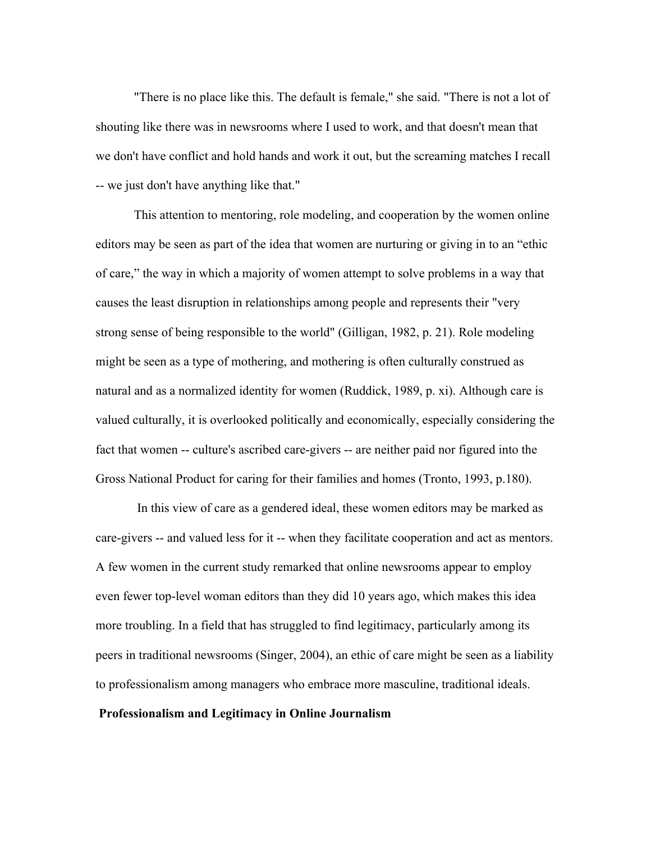"There is no place like this. The default is female," she said. "There is not a lot of shouting like there was in newsrooms where I used to work, and that doesn't mean that we don't have conflict and hold hands and work it out, but the screaming matches I recall -- we just don't have anything like that."

This attention to mentoring, role modeling, and cooperation by the women online editors may be seen as part of the idea that women are nurturing or giving in to an "ethic of care," the way in which a majority of women attempt to solve problems in a way that causes the least disruption in relationships among people and represents their "very strong sense of being responsible to the world" (Gilligan, 1982, p. 21). Role modeling might be seen as a type of mothering, and mothering is often culturally construed as natural and as a normalized identity for women (Ruddick, 1989, p. xi). Although care is valued culturally, it is overlooked politically and economically, especially considering the fact that women -- culture's ascribed care-givers -- are neither paid nor figured into the Gross National Product for caring for their families and homes (Tronto, 1993, p.180).

 In this view of care as a gendered ideal, these women editors may be marked as care-givers -- and valued less for it -- when they facilitate cooperation and act as mentors. A few women in the current study remarked that online newsrooms appear to employ even fewer top-level woman editors than they did 10 years ago, which makes this idea more troubling. In a field that has struggled to find legitimacy, particularly among its peers in traditional newsrooms (Singer, 2004), an ethic of care might be seen as a liability to professionalism among managers who embrace more masculine, traditional ideals.

## Professionalism and Legitimacy in Online Journalism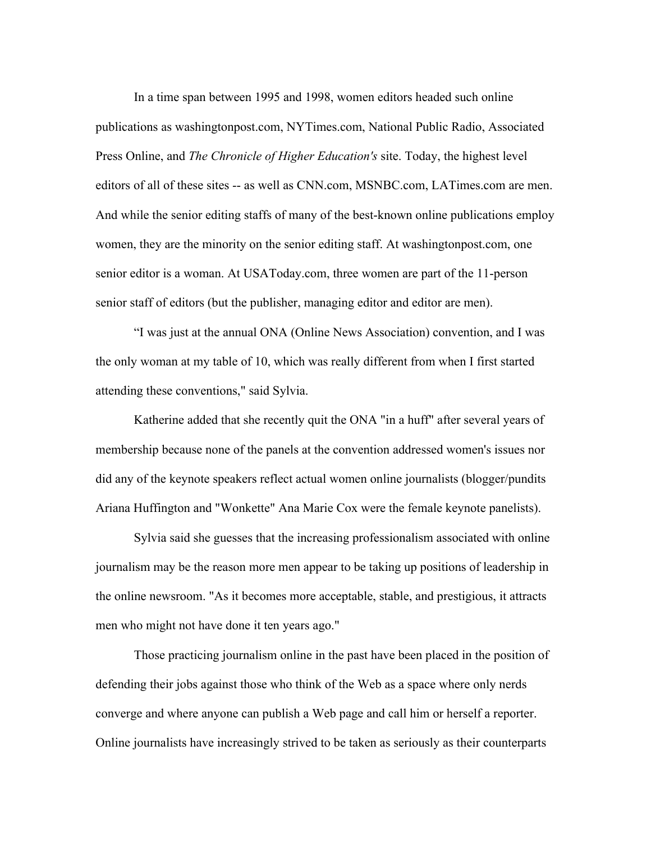In a time span between 1995 and 1998, women editors headed such online publications as washingtonpost.com, NYTimes.com, National Public Radio, Associated Press Online, and *The Chronicle of Higher Education's* site. Today, the highest level editors of all of these sites -- as well as CNN.com, MSNBC.com, LATimes.com are men. And while the senior editing staffs of many of the best-known online publications employ women, they are the minority on the senior editing staff. At washingtonpost.com, one senior editor is a woman. At USAToday.com, three women are part of the 11-person senior staff of editors (but the publisher, managing editor and editor are men).

"I was just at the annual ONA (Online News Association) convention, and I was the only woman at my table of 10, which was really different from when I first started attending these conventions," said Sylvia.

Katherine added that she recently quit the ONA "in a huff" after several years of membership because none of the panels at the convention addressed women's issues nor did any of the keynote speakers reflect actual women online journalists (blogger/pundits Ariana Huffington and "Wonkette" Ana Marie Cox were the female keynote panelists).

Sylvia said she guesses that the increasing professionalism associated with online journalism may be the reason more men appear to be taking up positions of leadership in the online newsroom. "As it becomes more acceptable, stable, and prestigious, it attracts men who might not have done it ten years ago."

Those practicing journalism online in the past have been placed in the position of defending their jobs against those who think of the Web as a space where only nerds converge and where anyone can publish a Web page and call him or herself a reporter. Online journalists have increasingly strived to be taken as seriously as their counterparts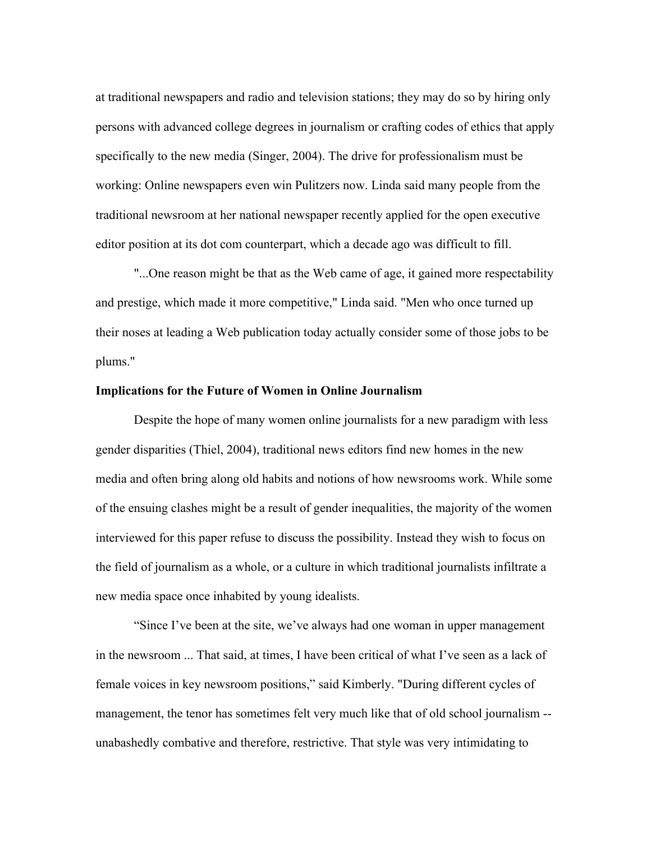at traditional newspapers and radio and television stations; they may do so by hiring only persons with advanced college degrees in journalism or crafting codes of ethics that apply specifically to the new media (Singer, 2004). The drive for professionalism must be working: Online newspapers even win Pulitzers now. Linda said many people from the traditional newsroom at her national newspaper recently applied for the open executive editor position at its dot com counterpart, which a decade ago was difficult to fill.

"...One reason might be that as the Web came of age, it gained more respectability and prestige, which made it more competitive," Linda said. "Men who once turned up their noses at leading a Web publication today actually consider some of those jobs to be plums."

#### Implications for the Future of Women in Online Journalism

Despite the hope of many women online journalists for a new paradigm with less gender disparities (Thiel, 2004), traditional news editors find new homes in the new media and often bring along old habits and notions of how newsrooms work. While some of the ensuing clashes might be a result of gender inequalities, the majority of the women interviewed for this paper refuse to discuss the possibility. Instead they wish to focus on the field of journalism as a whole, or a culture in which traditional journalists infiltrate a new media space once inhabited by young idealists.

"Since I've been at the site, we've always had one woman in upper management in the newsroom ... That said, at times, I have been critical of what I've seen as a lack of female voices in key newsroom positions," said Kimberly. "During different cycles of management, the tenor has sometimes felt very much like that of old school journalism - unabashedly combative and therefore, restrictive. That style was very intimidating to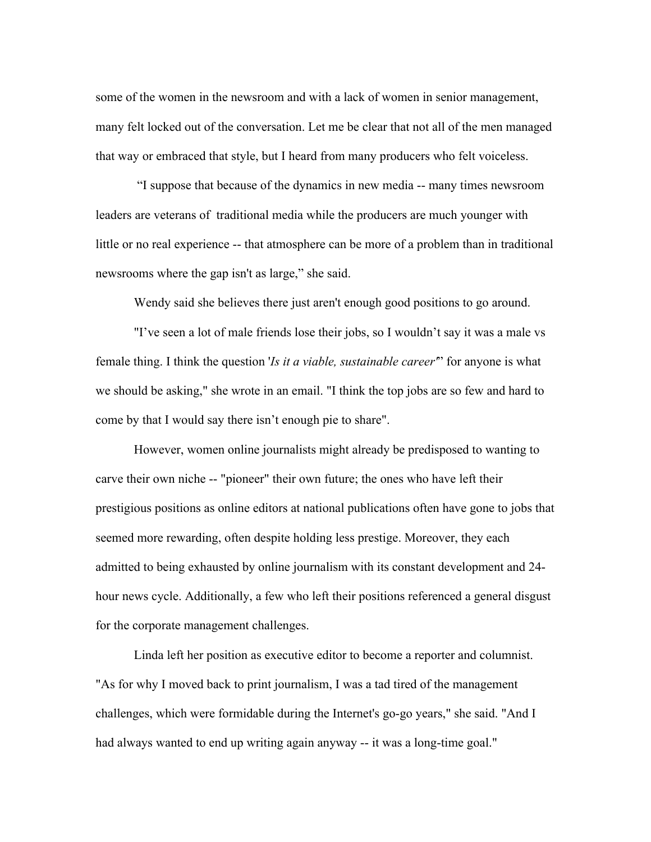some of the women in the newsroom and with a lack of women in senior management, many felt locked out of the conversation. Let me be clear that not all of the men managed that way or embraced that style, but I heard from many producers who felt voiceless.

 "I suppose that because of the dynamics in new media -- many times newsroom leaders are veterans of traditional media while the producers are much younger with little or no real experience -- that atmosphere can be more of a problem than in traditional newsrooms where the gap isn't as large," she said.

Wendy said she believes there just aren't enough good positions to go around.

"I've seen a lot of male friends lose their jobs, so I wouldn't say it was a male vs female thing. I think the question '*Is it a viable, sustainable career'*" for anyone is what we should be asking," she wrote in an email. "I think the top jobs are so few and hard to come by that I would say there isn't enough pie to share".

However, women online journalists might already be predisposed to wanting to carve their own niche -- "pioneer" their own future; the ones who have left their prestigious positions as online editors at national publications often have gone to jobs that seemed more rewarding, often despite holding less prestige. Moreover, they each admitted to being exhausted by online journalism with its constant development and 24 hour news cycle. Additionally, a few who left their positions referenced a general disgust for the corporate management challenges.

Linda left her position as executive editor to become a reporter and columnist. "As for why I moved back to print journalism, I was a tad tired of the management challenges, which were formidable during the Internet's go-go years," she said. "And I had always wanted to end up writing again anyway -- it was a long-time goal."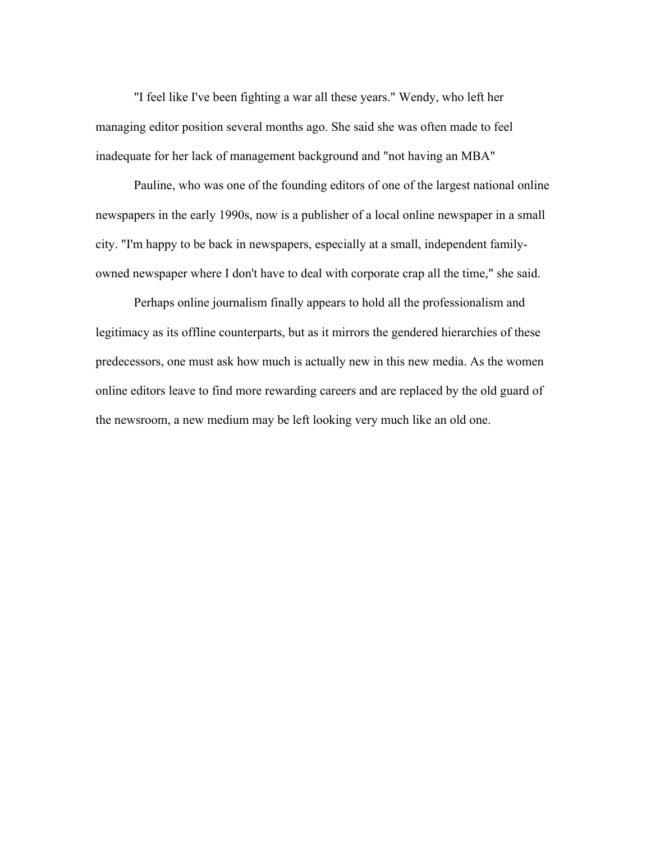"I feel like I've been fighting a war all these years." Wendy, who left her managing editor position several months ago. She said she was often made to feel inadequate for her lack of management background and "not having an MBA"

Pauline, who was one of the founding editors of one of the largest national online newspapers in the early 1990s, now is a publisher of a local online newspaper in a small city. "I'm happy to be back in newspapers, especially at a small, independent familyowned newspaper where I don't have to deal with corporate crap all the time," she said.

Perhaps online journalism finally appears to hold all the professionalism and legitimacy as its offline counterparts, but as it mirrors the gendered hierarchies of these predecessors, one must ask how much is actually new in this new media. As the women online editors leave to find more rewarding careers and are replaced by the old guard of the newsroom, a new medium may be left looking very much like an old one.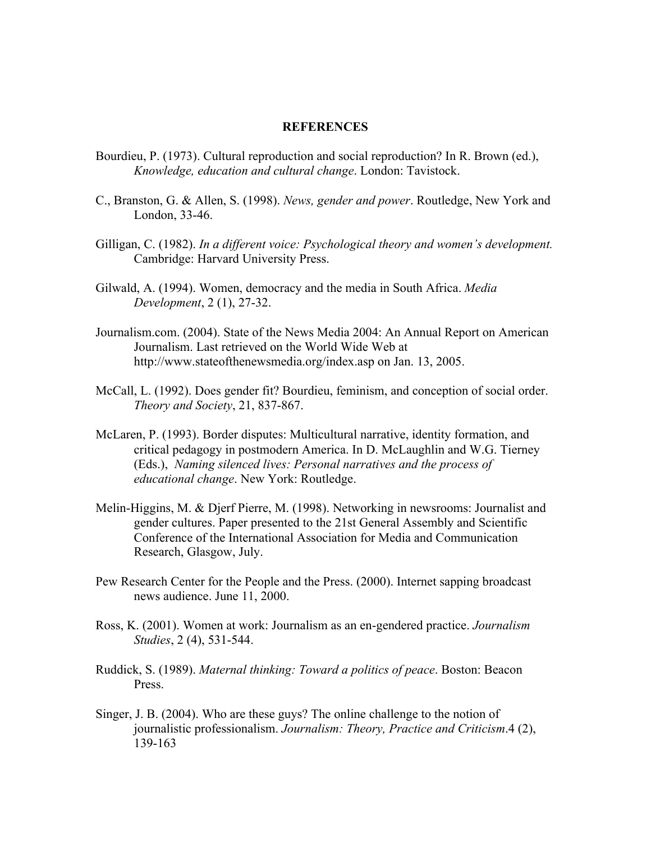#### **REFERENCES**

- Bourdieu, P. (1973). Cultural reproduction and social reproduction? In R. Brown (ed.), *Knowledge, education and cultural change*. London: Tavistock.
- C., Branston, G. & Allen, S. (1998). *News, gender and power*. Routledge, New York and London, 33-46.
- Gilligan, C. (1982). *In a different voice: Psychological theory and women's development.* Cambridge: Harvard University Press.
- Gilwald, A. (1994). Women, democracy and the media in South Africa. *Media Development*, 2 (1), 27-32.
- Journalism.com. (2004). State of the News Media 2004: An Annual Report on American Journalism. Last retrieved on the World Wide Web at http://www.stateofthenewsmedia.org/index.asp on Jan. 13, 2005.
- McCall, L. (1992). Does gender fit? Bourdieu, feminism, and conception of social order. *Theory and Society*, 21, 837-867.
- McLaren, P. (1993). Border disputes: Multicultural narrative, identity formation, and critical pedagogy in postmodern America. In D. McLaughlin and W.G. Tierney (Eds.), *Naming silenced lives: Personal narratives and the process of educational change*. New York: Routledge.
- Melin-Higgins, M. & Djerf Pierre, M. (1998). Networking in newsrooms: Journalist and gender cultures. Paper presented to the 21st General Assembly and Scientific Conference of the International Association for Media and Communication Research, Glasgow, July.
- Pew Research Center for the People and the Press. (2000). Internet sapping broadcast news audience. June 11, 2000.
- Ross, K. (2001). Women at work: Journalism as an en-gendered practice. *Journalism Studies*, 2 (4), 531-544.
- Ruddick, S. (1989). *Maternal thinking: Toward a politics of peace*. Boston: Beacon Press.
- Singer, J. B. (2004). Who are these guys? The online challenge to the notion of journalistic professionalism. *Journalism: Theory, Practice and Criticism*.4 (2), 139-163